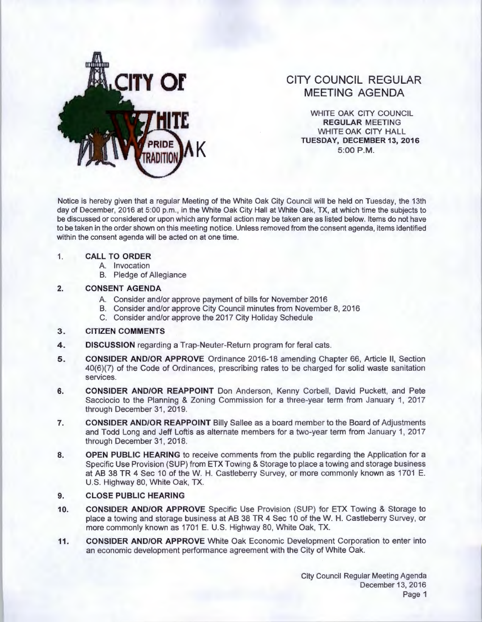

# **CITY COUNCIL REGULAR MEETING AGENDA**

WHITE OAK CITY COUNCIL **REGULAR** MEETING WHITE OAK CITY HALL **TUESDAY, DECEMBER 13, 2016 5:00 P.M.** 

Notice is hereby given that a regular Meeting of the White Oak City Council will be held on Tuesday, the 13th day of December, 2016 at 5:00 p.m., in the White Oak City Hall at White Oak, TX, at which time the subjects to be discussed or considered or upon which any formal action may be taken are as listed below. Items do not have to be taken in the order shown on this meeting notice. Unless removed from the consent agenda, items identified within the consent agenda will be acted on at one time.

#### **1. CALL TO ORDER**

- A. Invocation
- B. Pledge of Allegiance

## **2. CONSENT AGENDA**

- A. Consider and/or approve payment of bills for November 2016
- B. Consider and/or approve City Council minutes from November 8, 2016
	- C. Consider and/or approve the 2017 City Holiday Schedule

## **3. CITIZEN COMMENTS**

- **4. DISCUSSION** regarding a Trap-Neuter-Return program for feral cats.
- **5.** CONSIDER AND/OR APPROVE Ordinance 2016-18 amending Chapter 66, Article II, Section 40(6)(7) of the Code of Ordinances, prescribing rates to be charged for solid waste sanitation services.
- **6. CONSIDER AND/OR REAPPOINT** Don Anderson, Kenny Corbell, David Puckett, and Pete Sacciocio to the Planning & Zoning Commission for a three-year term from January 1, 2017 through December 31, 2019.
- **7. CONSIDER AND/OR REAPPOINT** Billy Sallee as a board member to the Board of Adjustments and Todd Long and Jeff Loftis as alternate members for a two-year term from January 1, 2017 through December 31, 2018.
- **8. OPEN PUBLIC HEARING** to receive comments from the public regarding the Application for a Specific Use Provision (SUP) from ETX Towing & Storage to place a towing and storage business at AB 38 TR 4 Sec 10 of the W. H. Castleberry Survey, or more commonly known as 1701 E. U.S. Highway 80, White Oak, TX.

## **9. CLOSE PUBLIC HEARING**

- **10. CONSIDER AND/OR APPROVE** Specific Use Provision (SUP) for ETX Towing & Storage to place a towing and storage business at AB 38 TR 4 Sec 10 of theW. H. Castleberry Survey, or more commonly known as 1701 E. U.S. Highway 80, White Oak, TX.
- **11. CONSIDER AND/OR APPROVE** White Oak Economic Development Corporation to enter into an economic development performance agreement with the City of White Oak.